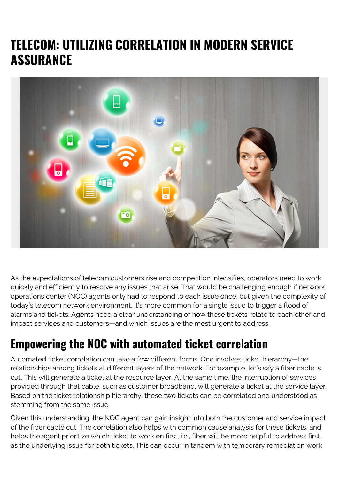## **TELECOM: UTILIZING CORRELATION IN MODERN SERVICE ASSURANCE**



As the expectations of telecom customers rise and competition intensifies, operators need to work quickly and efficiently to resolve any issues that arise. That would be challenging enough if network operations center (NOC) agents only had to respond to each issue once, but given the complexity of today's telecom network environment, it's more common for a single issue to trigger a flood of alarms and tickets. Agents need a clear understanding of how these tickets relate to each other and impact services and customers—and which issues are the most urgent to address.

## **Empowering the NOC with automated ticket correlation**

Automated ticket correlation can take a few different forms. One involves ticket hierarchy—the relationships among tickets at different layers of the network. For example, let's say a fiber cable is cut. This will generate a ticket at the resource layer. At the same time, the interruption of services provided through that cable, such as customer broadband, will generate a ticket at the service layer. Based on the ticket relationship hierarchy, these two tickets can be correlated and understood as stemming from the same issue.

Given this understanding, the NOC agent can gain insight into both the customer and service impact of the fiber cable cut. The correlation also helps with common cause analysis for these tickets, and helps the agent prioritize which ticket to work on first, i.e., fiber will be more helpful to address first as the underlying issue for both tickets. This can occur in tandem with temporary remediation work